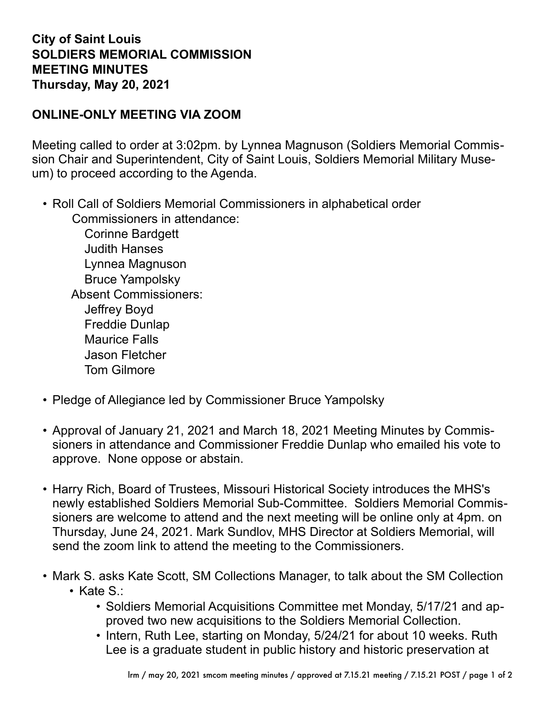## **City of Saint Louis SOLDIERS MEMORIAL COMMISSION MEETING MINUTES Thursday, May 20, 2021**

## **ONLINE-ONLY MEETING VIA ZOOM**

Meeting called to order at 3:02pm. by Lynnea Magnuson (Soldiers Memorial Commission Chair and Superintendent, City of Saint Louis, Soldiers Memorial Military Museum) to proceed according to the Agenda.

• Roll Call of Soldiers Memorial Commissioners in alphabetical order Commissioners in attendance:

Corinne Bardgett Judith Hanses Lynnea Magnuson Bruce Yampolsky Absent Commissioners: Jeffrey Boyd Freddie Dunlap Maurice Falls Jason Fletcher Tom Gilmore

- Pledge of Allegiance led by Commissioner Bruce Yampolsky
- Approval of January 21, 2021 and March 18, 2021 Meeting Minutes by Commissioners in attendance and Commissioner Freddie Dunlap who emailed his vote to approve. None oppose or abstain.
- Harry Rich, Board of Trustees, Missouri Historical Society introduces the MHS's newly established Soldiers Memorial Sub-Committee. Soldiers Memorial Commissioners are welcome to attend and the next meeting will be online only at 4pm. on Thursday, June 24, 2021. Mark Sundlov, MHS Director at Soldiers Memorial, will send the zoom link to attend the meeting to the Commissioners.
- Mark S. asks Kate Scott, SM Collections Manager, to talk about the SM Collection • Kate S.:
	- Soldiers Memorial Acquisitions Committee met Monday, 5/17/21 and approved two new acquisitions to the Soldiers Memorial Collection.
	- Intern, Ruth Lee, starting on Monday, 5/24/21 for about 10 weeks. Ruth Lee is a graduate student in public history and historic preservation at